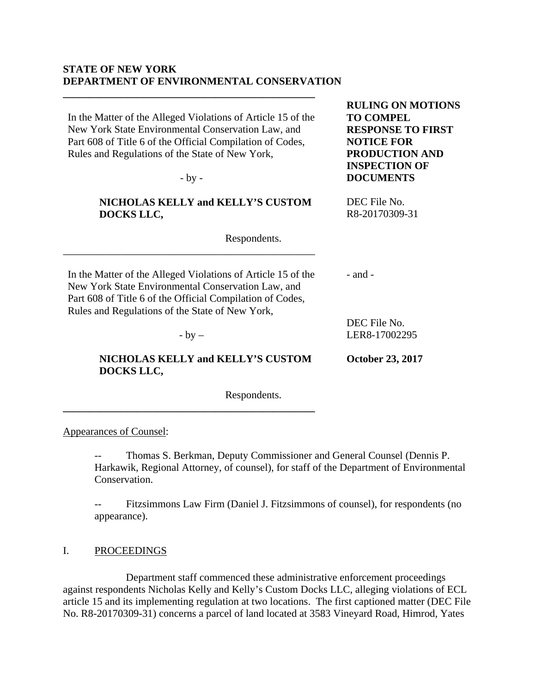## **STATE OF NEW YORK DEPARTMENT OF ENVIRONMENTAL CONSERVATION**

In the Matter of the Alleged Violations of Article 15 of the New York State Environmental Conservation Law, and Part 608 of Title 6 of the Official Compilation of Codes,

**\_\_\_\_\_\_\_\_\_\_\_\_\_\_\_\_\_\_\_\_\_\_\_\_\_\_\_\_\_\_\_\_\_\_\_\_\_\_\_\_\_\_\_\_\_\_\_\_**

**\_\_\_\_\_\_\_\_\_\_\_\_\_\_\_\_\_\_\_\_\_\_\_\_\_\_\_\_\_\_\_\_\_\_\_\_\_\_\_\_\_\_\_\_\_\_\_\_**

Respondents.

Appearances of Counsel:

-- Thomas S. Berkman, Deputy Commissioner and General Counsel (Dennis P. Harkawik, Regional Attorney, of counsel), for staff of the Department of Environmental Conservation.

-- Fitzsimmons Law Firm (Daniel J. Fitzsimmons of counsel), for respondents (no appearance).

I. PROCEEDINGS

 Department staff commenced these administrative enforcement proceedings against respondents Nicholas Kelly and Kelly's Custom Docks LLC, alleging violations of ECL article 15 and its implementing regulation at two locations. The first captioned matter (DEC File No. R8-20170309-31) concerns a parcel of land located at 3583 Vineyard Road, Himrod, Yates

| Part 608 of Title 6 of the Official Compilation of Codes,<br>Rules and Regulations of the State of New York,<br>$-by -$                                                                                                            | <b>NOTICE FOR</b><br><b>PRODUCTION AND</b><br><b>INSPECTION OF</b><br><b>DOCUMENTS</b> |
|------------------------------------------------------------------------------------------------------------------------------------------------------------------------------------------------------------------------------------|----------------------------------------------------------------------------------------|
| <b>NICHOLAS KELLY and KELLY'S CUSTOM</b><br>DOCKS LLC,                                                                                                                                                                             | DEC File No.<br>R8-20170309-31                                                         |
| Respondents.                                                                                                                                                                                                                       |                                                                                        |
| In the Matter of the Alleged Violations of Article 15 of the<br>New York State Environmental Conservation Law, and<br>Part 608 of Title 6 of the Official Compilation of Codes,<br>Rules and Regulations of the State of New York, | $-$ and $-$                                                                            |
| $-$ by $-$                                                                                                                                                                                                                         | DEC File No.<br>LER8-17002295                                                          |
| NICHOLAS KELLY and KELLY'S CUSTOM<br>DOCKS LLC,                                                                                                                                                                                    | <b>October 23, 2017</b>                                                                |

**RULING ON MOTIONS** 

**RESPONSE TO FIRST** 

**TO COMPEL**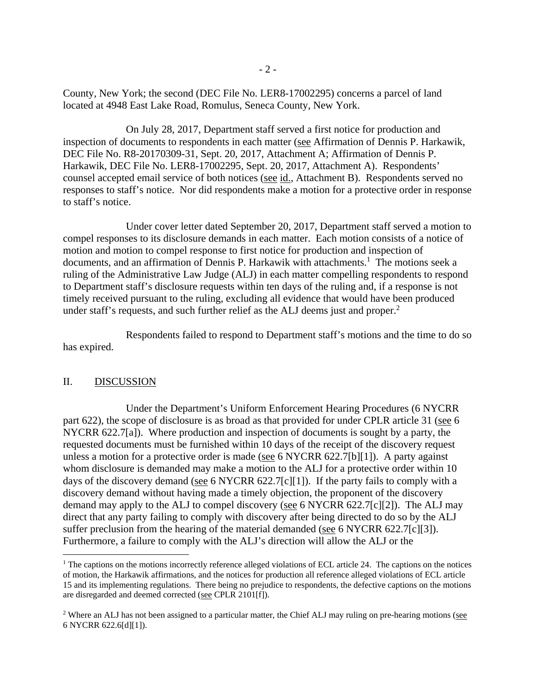County, New York; the second (DEC File No. LER8-17002295) concerns a parcel of land located at 4948 East Lake Road, Romulus, Seneca County, New York.

 On July 28, 2017, Department staff served a first notice for production and inspection of documents to respondents in each matter (see Affirmation of Dennis P. Harkawik, DEC File No. R8-20170309-31, Sept. 20, 2017, Attachment A; Affirmation of Dennis P. Harkawik, DEC File No. LER8-17002295, Sept. 20, 2017, Attachment A). Respondents' counsel accepted email service of both notices (see id., Attachment B). Respondents served no responses to staff's notice. Nor did respondents make a motion for a protective order in response to staff's notice.

 Under cover letter dated September 20, 2017, Department staff served a motion to compel responses to its disclosure demands in each matter. Each motion consists of a notice of motion and motion to compel response to first notice for production and inspection of documents, and an affirmation of Dennis P. Harkawik with attachments.<sup>1</sup> The motions seek a ruling of the Administrative Law Judge (ALJ) in each matter compelling respondents to respond to Department staff's disclosure requests within ten days of the ruling and, if a response is not timely received pursuant to the ruling, excluding all evidence that would have been produced under staff's requests, and such further relief as the ALJ deems just and proper.<sup>2</sup>

 Respondents failed to respond to Department staff's motions and the time to do so has expired.

## II. DISCUSSION

 $\overline{a}$ 

 Under the Department's Uniform Enforcement Hearing Procedures (6 NYCRR part 622), the scope of disclosure is as broad as that provided for under CPLR article 31 (see 6 NYCRR 622.7[a]). Where production and inspection of documents is sought by a party, the requested documents must be furnished within 10 days of the receipt of the discovery request unless a motion for a protective order is made (see 6 NYCRR 622.7[b][1]). A party against whom disclosure is demanded may make a motion to the ALJ for a protective order within 10 days of the discovery demand (see 6 NYCRR 622.7[c][1]). If the party fails to comply with a discovery demand without having made a timely objection, the proponent of the discovery demand may apply to the ALJ to compel discovery (see 6 NYCRR 622.7[c][2]). The ALJ may direct that any party failing to comply with discovery after being directed to do so by the ALJ suffer preclusion from the hearing of the material demanded (see 6 NYCRR 622.7[c][3]). Furthermore, a failure to comply with the ALJ's direction will allow the ALJ or the

 $<sup>1</sup>$  The captions on the motions incorrectly reference alleged violations of ECL article 24. The captions on the notices</sup> of motion, the Harkawik affirmations, and the notices for production all reference alleged violations of ECL article 15 and its implementing regulations. There being no prejudice to respondents, the defective captions on the motions are disregarded and deemed corrected (see CPLR 2101[f]).

<sup>&</sup>lt;sup>2</sup> Where an ALJ has not been assigned to a particular matter, the Chief ALJ may ruling on pre-hearing motions ( $\frac{1}{2}$ ) 6 NYCRR 622.6[d][1]).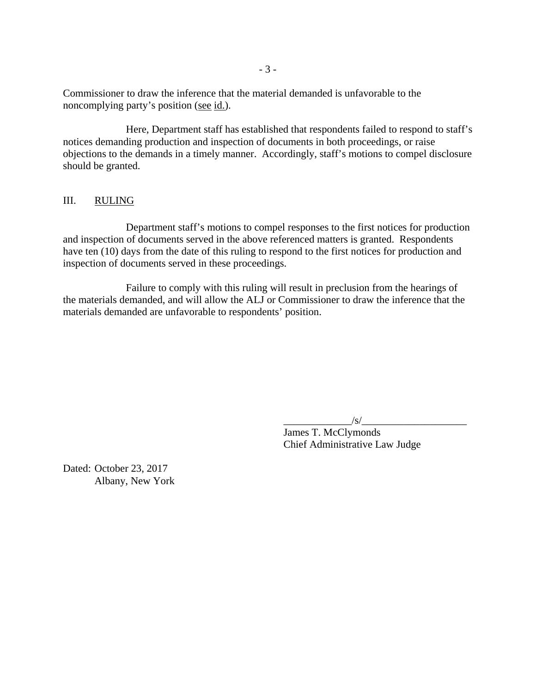Commissioner to draw the inference that the material demanded is unfavorable to the noncomplying party's position (see id.).

 Here, Department staff has established that respondents failed to respond to staff's notices demanding production and inspection of documents in both proceedings, or raise objections to the demands in a timely manner. Accordingly, staff's motions to compel disclosure should be granted.

## III. RULING

 Department staff's motions to compel responses to the first notices for production and inspection of documents served in the above referenced matters is granted. Respondents have ten (10) days from the date of this ruling to respond to the first notices for production and inspection of documents served in these proceedings.

 Failure to comply with this ruling will result in preclusion from the hearings of the materials demanded, and will allow the ALJ or Commissioner to draw the inference that the materials demanded are unfavorable to respondents' position.

 $\frac{|S|}{|S|}$ 

 James T. McClymonds Chief Administrative Law Judge

Dated: October 23, 2017 Albany, New York